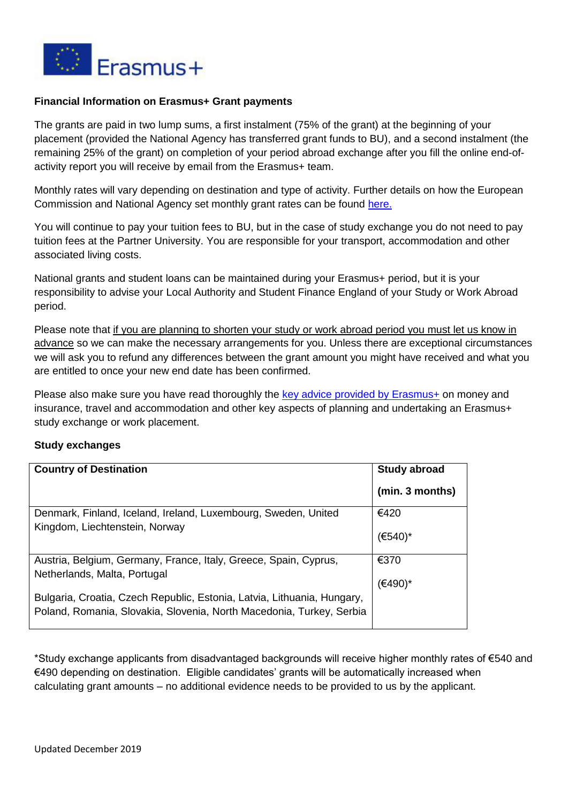

## **Financial Information on Erasmus+ Grant payments**

The grants are paid in two lump sums, a first instalment (75% of the grant) at the beginning of your placement (provided the National Agency has transferred grant funds to BU), and a second instalment (the remaining 25% of the grant) on completion of your period abroad exchange after you fill the online end-ofactivity report you will receive by email from the Erasmus+ team.

Monthly rates will vary depending on destination and type of activity. Further details on how the European Commission and National Agency set monthly grant rates can be found [here.](https://www.erasmusplus.org.uk/higher-education-student-and-staff-grant-rates)

You will continue to pay your tuition fees to BU, but in the case of study exchange you do not need to pay tuition fees at the Partner University. You are responsible for your transport, accommodation and other associated living costs.

National grants and student loans can be maintained during your Erasmus+ period, but it is your responsibility to advise your Local Authority and Student Finance England of your Study or Work Abroad period.

Please note that if you are planning to shorten your study or work abroad period you must let us know in advance so we can make the necessary arrangements for you. Unless there are exceptional circumstances we will ask you to refund any differences between the grant amount you might have received and what you are entitled to once your new end date has been confirmed.

Please also make sure you have read thoroughly the [key advice provided by Erasmus+](https://www.erasmusplus.org.uk/advice-for-participants) on money and insurance, travel and accommodation and other key aspects of planning and undertaking an Erasmus+ study exchange or work placement.

## **Study exchanges**

| <b>Country of Destination</b>                                                                                                                   | <b>Study abroad</b> |
|-------------------------------------------------------------------------------------------------------------------------------------------------|---------------------|
|                                                                                                                                                 | (min. 3 months)     |
| Denmark, Finland, Iceland, Ireland, Luxembourg, Sweden, United                                                                                  | €420                |
| Kingdom, Liechtenstein, Norway                                                                                                                  | (€540               |
| Austria, Belgium, Germany, France, Italy, Greece, Spain, Cyprus,                                                                                | €370                |
| Netherlands, Malta, Portugal                                                                                                                    | (€490)*             |
| Bulgaria, Croatia, Czech Republic, Estonia, Latvia, Lithuania, Hungary,<br>Poland, Romania, Slovakia, Slovenia, North Macedonia, Turkey, Serbia |                     |

\*Study exchange applicants from disadvantaged backgrounds will receive higher monthly rates of €540 and €490 depending on destination. Eligible candidates' grants will be automatically increased when calculating grant amounts – no additional evidence needs to be provided to us by the applicant.